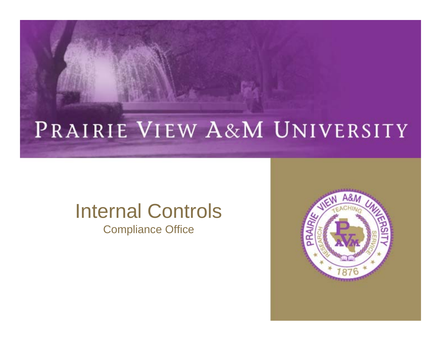### PRAIRIE VIEW A&M UNIVERSITY

#### Internal Controls Compliance Office

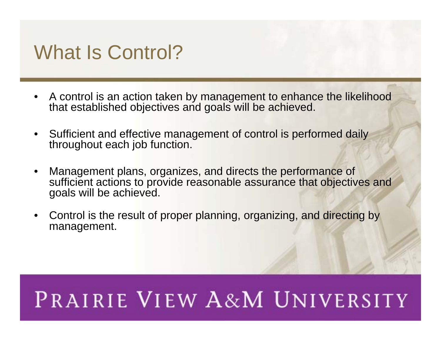#### What Is Control?

- A control is an action taken by management to enhance the likelihood that established objectives and goals will be achieved.
- Sufficient and effective management of control is performed daily throughout each job function.
- •• Management plans, organizes, and directs the performance of sufficient actions to provide reasonable assurance that objectives and goals will be achieved.
- Control is the result of proper planning, organizing, and directing by management.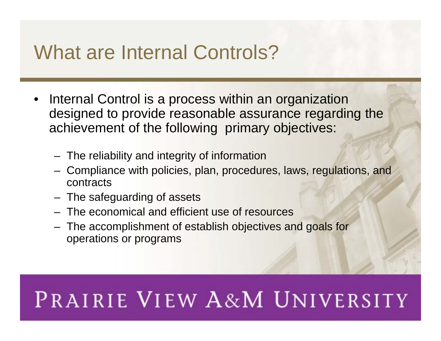#### What are Internal Controls?

- Internal Control is a process within an organization designed to provide reasonable assurance regarding the achievement of the following primary objectives:
	- $-$  The reliability and integrity of information
	- Compliance with policies, plan, procedures, laws, regulations, and contracts
	- $\hspace{0.1mm}-\hspace{0.1mm}$  The safeguarding of assets
	- The economical and efficient use of resources
	- The accomplishment of establish objectives and goals for operations or programs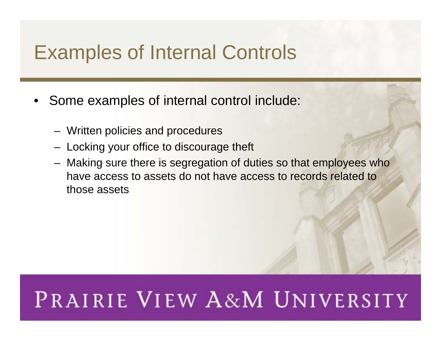#### Examples of Internal Controls

- Some examples of internal control include:
	- Written policies and procedures
	- $-$  Locking your office to discourage theft
	- Making sure there is segregation of duties so that employees who have access to assets do not have access to records related to those assets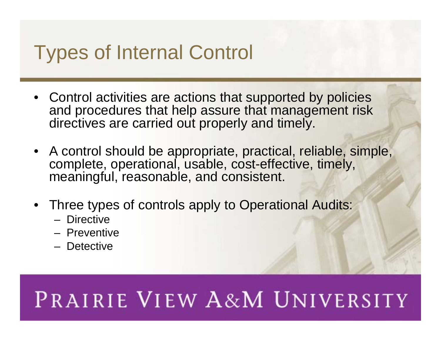### Types of Internal Control

- Control activities are actions that supported by policies and procedures that help assure that management risk directives are carried out properly and timely.
- A control should be appropriate, practical, reliable, simple, complete, operational, usable, cost-effective, timely, meaningful, reasonable, and consistent.
- Three types of controls apply to Operational Audits:
	- Directive
	- Preventive
	- Detective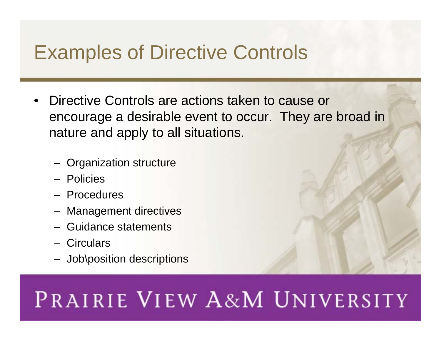#### Examples of Directive Controls

- Directive Controls are actions taken to cause or encourage a desirable event to occur. They are broad in nature and apply to all situations.
	- Organization structure
	- Policies
	- Procedures
	- Management directives
	- Guidance statements
	- Circulars
	- Job\position descriptions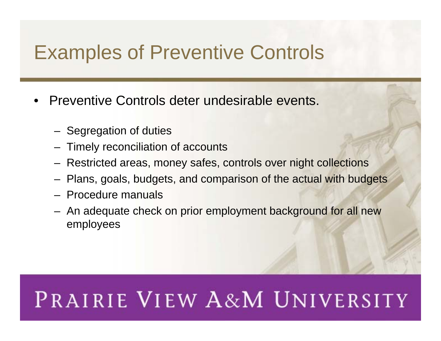#### Examples of Preventive Controls

- Preventive Controls deter undesirable events.
	- Segregation of duties
	- $-$  Timely reconciliation of accounts
	- Restricted areas, money safes, controls over night collections
	- Plans, goals, budgets, and comparison of the actual with budgets
	- Procedure manuals
	- An adequate check on prior employment background for all new employees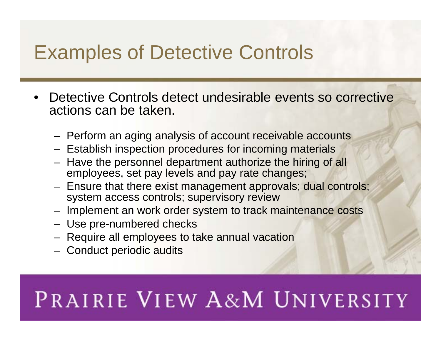#### Examples of Detective Controls

- Detective Controls detect undesirable events so corrective actions can be taken.
	- Perform an aging analysis of account receivable accounts
	- $-$  Establish inspection procedures for incoming materials
	- Have the personnel department authorize the hiring of all employees, set pay levels and pay rate changes;
	- Ensure that there exist management approvals; dual controls; system access controls; supervisory review
	- Implement an work order system to track maintenance costs
	- Use pre-numbered checks
	- Require all employees to take annual vacation
	- Conduct periodic audits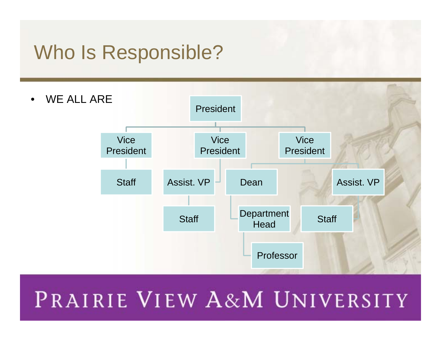#### Who Is Responsible?

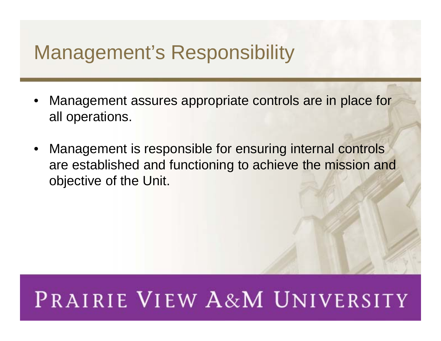#### Management's Responsibility

- • Management assures appropriate controls are in place for all operations.
- • Management is responsible for ensuring internal controls are established and functioning to achieve the mission and objective of the Unit.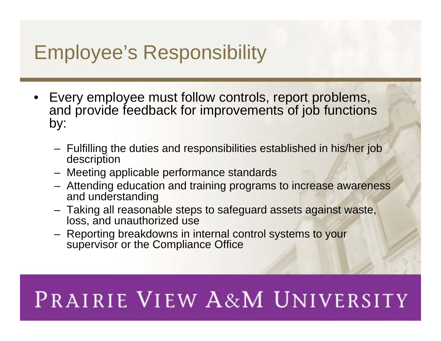#### Employee's Responsibility

- Every employee must follow controls, report problems, and provide feedback for improvements of job functions by:
	- Fulfilling the duties and responsibilities established in his/her job description
	- Meeting applicable performance standards
	- Attending education and training programs to increase awareness and understanding
	- Taking all reasonable steps to safeguard assets against waste, loss, and unauthorized use
	- Reporting breakdowns in internal control systems to your supervisor or the Compliance Office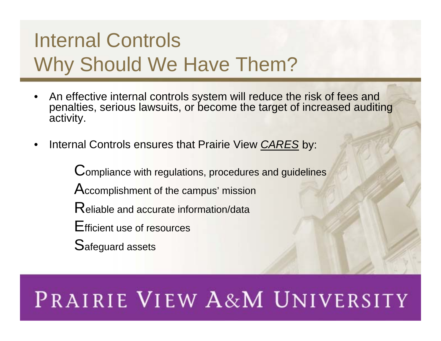#### Internal Controls Why Should We Have Them?

- • An effective internal controls system will reduce the risk of fees and penalties, serious lawsuits, or become the target of increased auditing activity.
- •Internal Controls ensures that Prairie View *CARES* by:

Compliance with regulations, procedures and guidelines Accomplishment of the campus' mission Reliable and accurate information/data Efficient use of resources Safeguard assets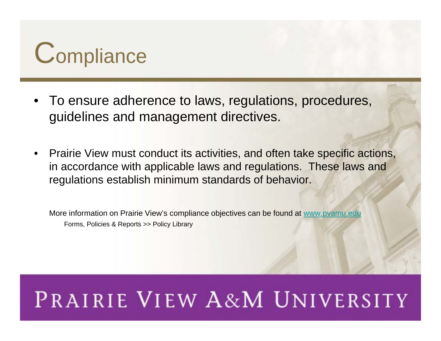

- To ensure adherence to laws, regulations, procedures, guidelines and management directives.
- • Prairie View must conduct its activities, and often take specific actions, in accordance with applicable laws and regulations. These laws and regulations establish minimum standards of behavior.

More information on Prairie View's compliance objectives can be found at [www.pvamu.edu](http://www.pvamu.edu/) Forms, Policies & Reports >> Policy Library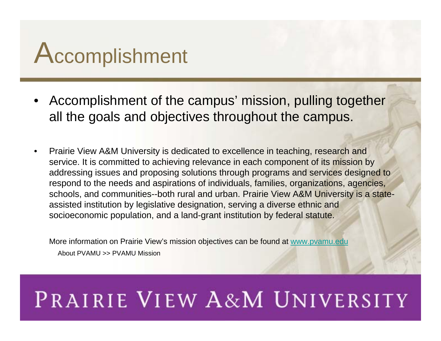# Accomplishment

- Accomplishment of the campus' mission, pulling together all the goals and objectives throughout the campus.
- • Prairie View A&M University is dedicated to excellence in teaching, research and service. It is committed to achieving relevance in each component of its mission by addressing issues and proposing solutions through programs and services designed to respond to the needs and aspirations of individuals, families, organizations, agencies, schools, and communities--both rural and urban. Prairie View A&M University is a stateassisted institution by legislative designation, serving a diverse ethnic and socioeconomic population, and a land-grant institution by federal statute.

More information on Prairie View's mission objectives can be found at [www.pvamu.edu](http://www.pvamu.edu/) About PVAMU >> PVAMU Mission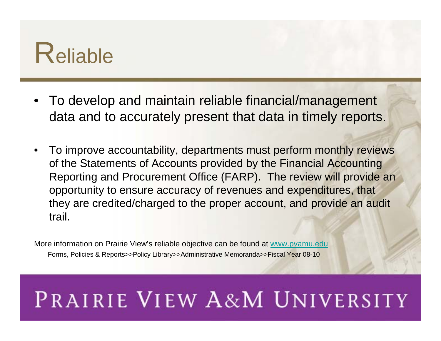

- To develop and maintain reliable financial/management data and to accurately present that data in timely reports.
- • To improve accountability, departments must perform monthly reviews of the Statements of Accounts provided by the Financial Accounting Reporting and Procurement Office (FARP). The review will provide an opportunity to ensure accuracy of revenues and expenditures, that they are credited/charged to the proper account, and provide an audit trail.

More information on Prairie View's reliable objective can be found at [www.pvamu.edu](http://www.pvamu.edu/) Forms, Policies & Reports>>Policy Library>>Administrative Memoranda>>Fiscal Year 08-10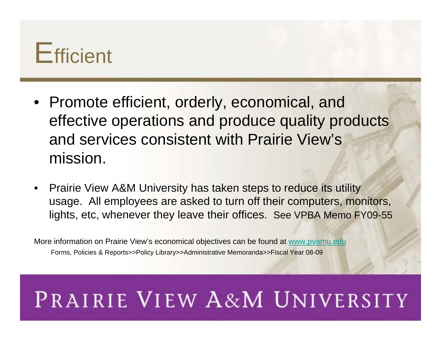

- Promote efficient, orderly, economical, and effective operations and produce quality products and services consistent with Prairie View's mission.
- • Prairie View A&M University has taken steps to reduce its utility usage. All employees are asked to turn off their computers, monitors, lights, etc, whenever they leave their offices. See VPBA Memo FY09-55

More information on Prairie View's economical objectives can be found at [www.pvamu.edu](http://www.pvamu.edu/) Forms, Policies & Reports>>Policy Library>>Administrative Memoranda>>Fiscal Year 08-09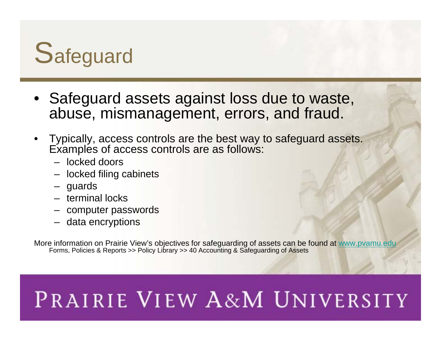

- Safeguard assets against loss due to waste, abuse, mismanagement, errors, and fraud.
- Typically, access controls are the best way to safeguard assets. Examples of access controls are as follows:
	- locked doors
	- locked filing cabinets
	- guards
	- terminal locks
	- computer passwords
	- data encryptions

More information on Prairie View's objectives for safeguarding of assets can be found at <u>www.pvamu.edu</u> Forms, Policies & Reports >> Policy Library >> 40 Accounting & Safeguarding of Assets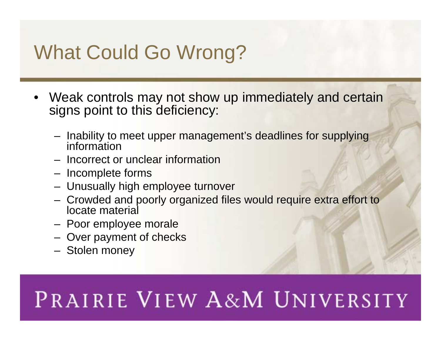### What Could Go Wrong?

- Weak controls may not show up immediately and certain signs point to this deficiency:
	- Inability to meet upper management's deadlines for supplying information
	- Incorrect or unclear information
	- $-$  Incomplete forms
	- Unusually high employee turnover
	- Crowded and poorly organized files would require extra effort to locate material
	- Poor employee morale
	- Over payment of checks
	- Stolen money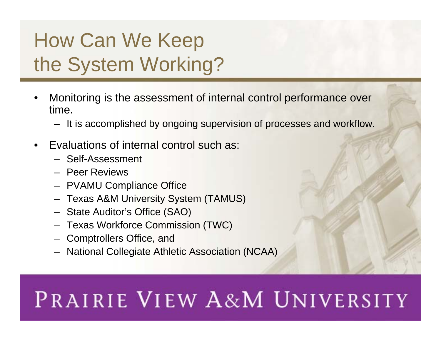### How Can We Keep the System Working?

- • Monitoring is the assessment of internal control performance over time.
	- It is accomplished by ongoing supervision of processes and workflow.
- • Evaluations of internal control such as:
	- Self-Assessment
	- Peer Reviews
	- PVAMU Compliance Office
	- Texas A&M University System (TAMUS)
	- State Auditor's Office (SAO)
	- Texas Workforce Commission (TWC)
	- Comptrollers Office, and
	- National Collegiate Athletic Association (NCAA)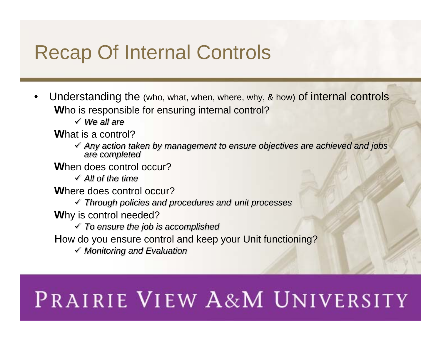#### Recap Of Internal Controls

- • Understanding the (who, what, when, where, why, & how) of internal controls **W**ho is responsible for ensuring internal control?
	- 9 *We all are*
	- **W**hat is a control?
		- 9 *Any action taken by management to ensure objectives are achieved and jobs are completed*
	- **W**hen does control occur?
		- 9 *All of the time*
	- **W**here does control occur?
		- 9 *Through policies and procedures and unit processes*
	- **W**hy is control needed?
		- 9 *To ensure the job is accomplished*
	- **H**ow do you ensure control and keep your Unit functioning?
		- 9 *Monitoring and Evaluation*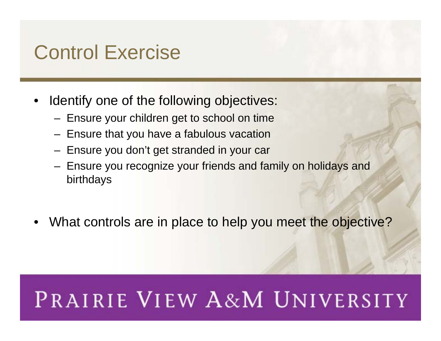#### Control Exercise

- •Identify one of the following objectives:
	- $-$  Ensure your children get to school on time
	- $-$  Ensure that you have a fabulous vacation
	- Ensure you don't get stranded in your car
	- Ensure you recognize your friends and family on holidays and birthdays
- What controls are in place to help you meet the objective?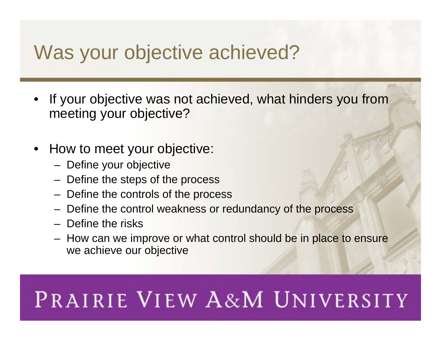#### Was your objective achieved?

- If your objective was not achieved, what hinders you from meeting your objective?
- • How to meet your objective:
	- $-$  Define your objective
	- $-$  Define the steps of the process
	- $-$  Define the controls of the process
	- Define the control weakness or redundancy of the process
	- Define the risks
	- How can we improve or what control should be in place to ensure we achieve our objective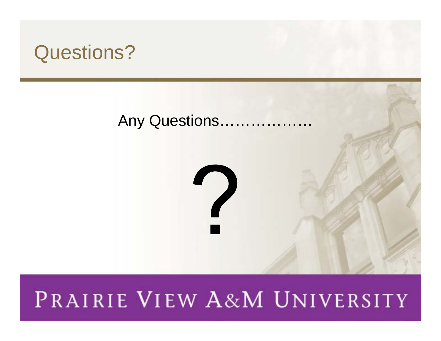#### Questions?